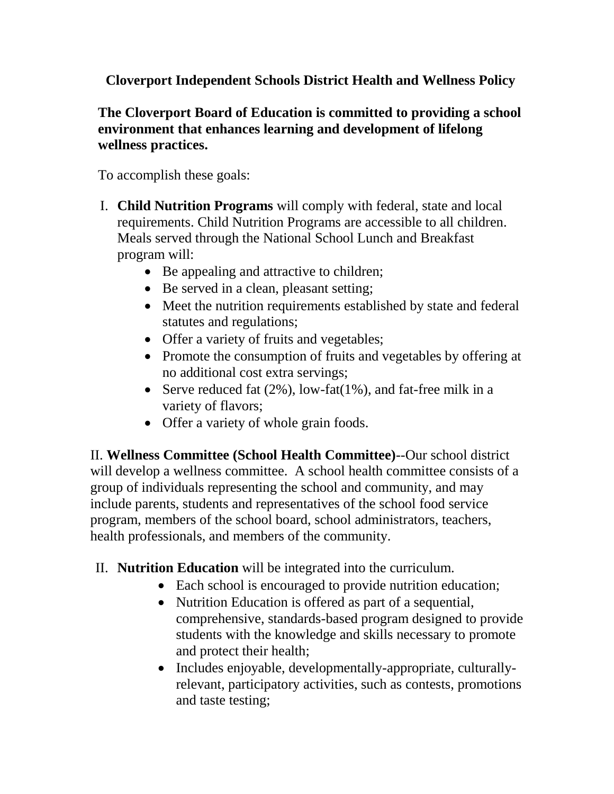**Cloverport Independent Schools District Health and Wellness Policy**

## **The Cloverport Board of Education is committed to providing a school environment that enhances learning and development of lifelong wellness practices.**

To accomplish these goals:

- I. **Child Nutrition Programs** will comply with federal, state and local requirements. Child Nutrition Programs are accessible to all children. Meals served through the National School Lunch and Breakfast program will:
	- Be appealing and attractive to children;
	- Be served in a clean, pleasant setting;
	- Meet the nutrition requirements established by state and federal statutes and regulations;
	- Offer a variety of fruits and vegetables;
	- Promote the consumption of fruits and vegetables by offering at no additional cost extra servings;
	- Serve reduced fat  $(2\%)$ , low-fat $(1\%)$ , and fat-free milk in a variety of flavors;
	- Offer a variety of whole grain foods.

II. **Wellness Committee (School Health Committee)**--Our school district will develop a wellness committee. A school health committee consists of a group of individuals representing the school and community, and may include parents, students and representatives of the school food service program, members of the school board, school administrators, teachers, health professionals, and members of the community.

## II. **Nutrition Education** will be integrated into the curriculum.

- Each school is encouraged to provide nutrition education;
- Nutrition Education is offered as part of a sequential, comprehensive, standards-based program designed to provide students with the knowledge and skills necessary to promote and protect their health;
- Includes enjoyable, developmentally-appropriate, culturallyrelevant, participatory activities, such as contests, promotions and taste testing;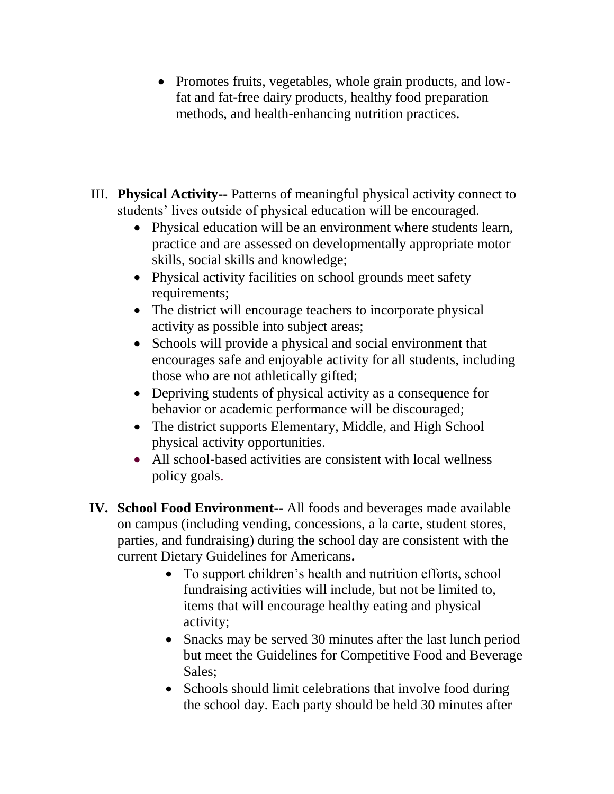- Promotes fruits, vegetables, whole grain products, and lowfat and fat-free dairy products, healthy food preparation methods, and health-enhancing nutrition practices.
- III. **Physical Activity--** Patterns of meaningful physical activity connect to students' lives outside of physical education will be encouraged.
	- Physical education will be an environment where students learn, practice and are assessed on developmentally appropriate motor skills, social skills and knowledge;
	- Physical activity facilities on school grounds meet safety requirements;
	- The district will encourage teachers to incorporate physical activity as possible into subject areas;
	- Schools will provide a physical and social environment that encourages safe and enjoyable activity for all students, including those who are not athletically gifted;
	- Depriving students of physical activity as a consequence for behavior or academic performance will be discouraged;
	- The district supports Elementary, Middle, and High School physical activity opportunities.
	- All school-based activities are consistent with local wellness policy goals.
- **IV. School Food Environment--** All foods and beverages made available on campus (including vending, concessions, a la carte, student stores, parties, and fundraising) during the school day are consistent with the current Dietary Guidelines for Americans**.** 
	- To support children's health and nutrition efforts, school fundraising activities will include, but not be limited to, items that will encourage healthy eating and physical activity;
	- Snacks may be served 30 minutes after the last lunch period but meet the Guidelines for Competitive Food and Beverage Sales;
	- Schools should limit celebrations that involve food during the school day. Each party should be held 30 minutes after